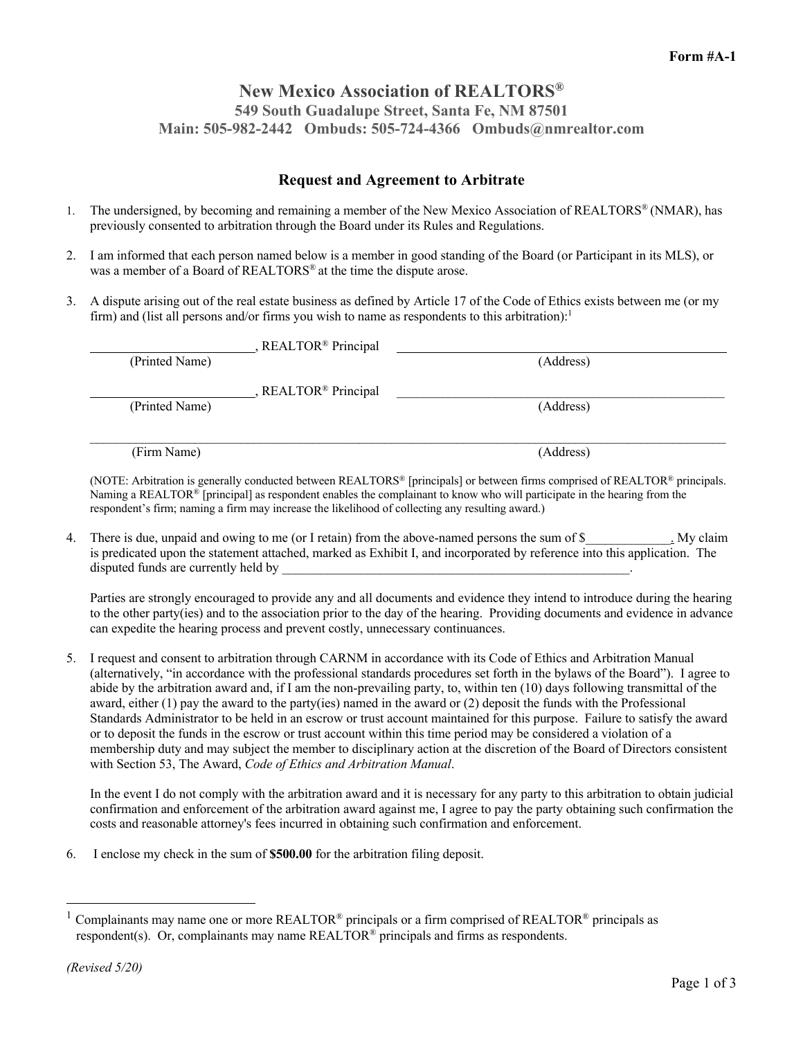## **New Mexico Association of REALTORS® 549 South Guadalupe Street, Santa Fe, NM 87501 Main: 505-982-2442 Ombuds: 505-724-4366 Ombuds@nmrealtor.com**

## **Request and Agreement to Arbitrate**

- 1. The undersigned, by becoming and remaining a member of the New Mexico Association of REALTORS® (NMAR), has previously consented to arbitration through the Board under its Rules and Regulations.
- 2. I am informed that each person named below is a member in good standing of the Board (or Participant in its MLS), or was a member of a Board of REALTORS® at the time the dispute arose.
- 3. A dispute arising out of the real estate business as defined by Article 17 of the Code of Ethics exists between me (or my firm) and (list all persons and/or firms you wish to name as respondents to this arbitration):<sup>1</sup>

| , REALTOR <sup>®</sup> Principal |           |
|----------------------------------|-----------|
| (Printed Name)                   | (Address) |
|                                  |           |
| , REALTOR <sup>®</sup> Principal |           |
| (Printed Name)                   | (Address) |
|                                  |           |
|                                  |           |
| (Firm Name)                      | (Address) |
|                                  |           |

(NOTE: Arbitration is generally conducted between REALTORS® [principals] or between firms comprised of REALTOR® principals. Naming a REALTOR® [principal] as respondent enables the complainant to know who will participate in the hearing from the respondent's firm; naming a firm may increase the likelihood of collecting any resulting award.)

4. There is due, unpaid and owing to me (or I retain) from the above-named persons the sum of \$ is predicated upon the statement attached, marked as Exhibit I, and incorporated by reference into this application. The disputed funds are currently held by

Parties are strongly encouraged to provide any and all documents and evidence they intend to introduce during the hearing to the other party(ies) and to the association prior to the day of the hearing. Providing documents and evidence in advance can expedite the hearing process and prevent costly, unnecessary continuances.

5. I request and consent to arbitration through CARNM in accordance with its Code of Ethics and Arbitration Manual (alternatively, "in accordance with the professional standards procedures set forth in the bylaws of the Board"). I agree to abide by the arbitration award and, if I am the non-prevailing party, to, within ten (10) days following transmittal of the award, either (1) pay the award to the party(ies) named in the award or (2) deposit the funds with the Professional Standards Administrator to be held in an escrow or trust account maintained for this purpose. Failure to satisfy the award or to deposit the funds in the escrow or trust account within this time period may be considered a violation of a membership duty and may subject the member to disciplinary action at the discretion of the Board of Directors consistent with Section 53, The Award, *Code of Ethics and Arbitration Manual*.

In the event I do not comply with the arbitration award and it is necessary for any party to this arbitration to obtain judicial confirmation and enforcement of the arbitration award against me, I agree to pay the party obtaining such confirmation the costs and reasonable attorney's fees incurred in obtaining such confirmation and enforcement.

6. I enclose my check in the sum of **\$500.00** for the arbitration filing deposit.

 $1$  Complainants may name one or more REALTOR® principals or a firm comprised of REALTOR® principals as respondent(s). Or, complainants may name REALTOR® principals and firms as respondents.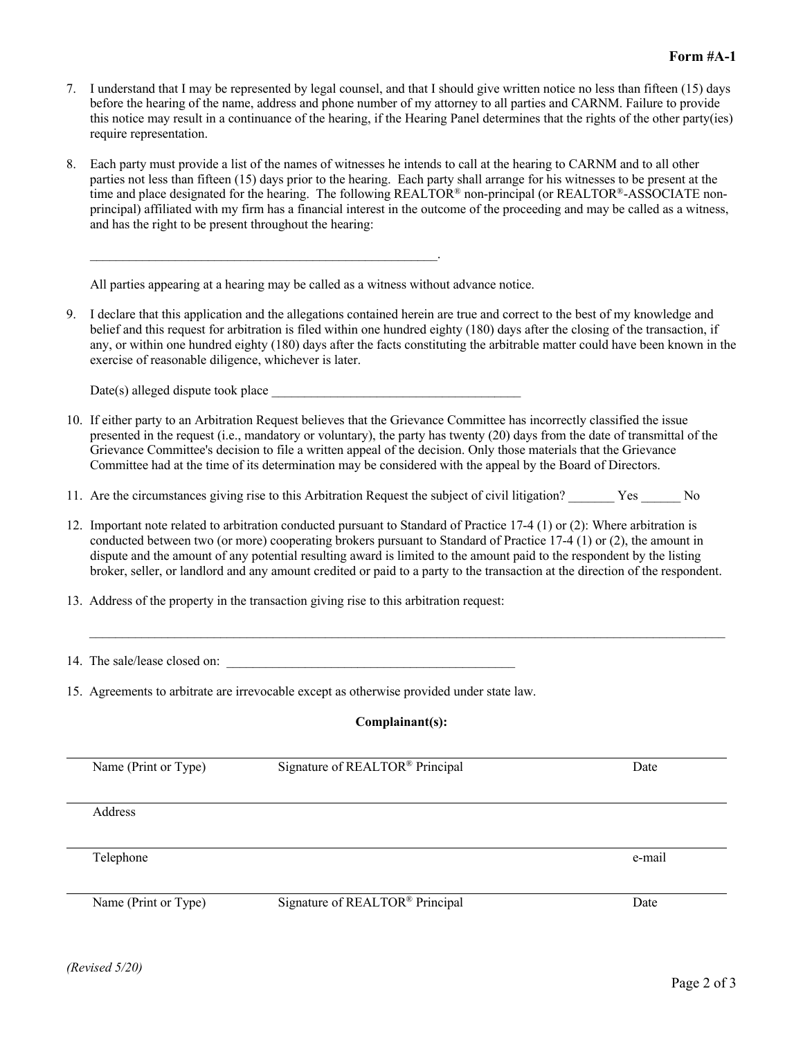- 7. I understand that I may be represented by legal counsel, and that I should give written notice no less than fifteen (15) days before the hearing of the name, address and phone number of my attorney to all parties and CARNM. Failure to provide this notice may result in a continuance of the hearing, if the Hearing Panel determines that the rights of the other party(ies) require representation.
- 8. Each party must provide a list of the names of witnesses he intends to call at the hearing to CARNM and to all other parties not less than fifteen (15) days prior to the hearing. Each party shall arrange for his witnesses to be present at the time and place designated for the hearing. The following REALTOR® non-principal (or REALTOR®-ASSOCIATE nonprincipal) affiliated with my firm has a financial interest in the outcome of the proceeding and may be called as a witness, and has the right to be present throughout the hearing:

All parties appearing at a hearing may be called as a witness without advance notice.

 $\mathcal{L}_\text{max} = \mathcal{L}_\text{max} = \mathcal{L}_\text{max} = \mathcal{L}_\text{max} = \mathcal{L}_\text{max} = \mathcal{L}_\text{max} = \mathcal{L}_\text{max} = \mathcal{L}_\text{max} = \mathcal{L}_\text{max} = \mathcal{L}_\text{max} = \mathcal{L}_\text{max} = \mathcal{L}_\text{max} = \mathcal{L}_\text{max} = \mathcal{L}_\text{max} = \mathcal{L}_\text{max} = \mathcal{L}_\text{max} = \mathcal{L}_\text{max} = \mathcal{L}_\text{max} = \mathcal{$ 

9. I declare that this application and the allegations contained herein are true and correct to the best of my knowledge and belief and this request for arbitration is filed within one hundred eighty (180) days after the closing of the transaction, if any, or within one hundred eighty (180) days after the facts constituting the arbitrable matter could have been known in the exercise of reasonable diligence, whichever is later.

 $Date(s)$  alleged dispute took place

- 10. If either party to an Arbitration Request believes that the Grievance Committee has incorrectly classified the issue presented in the request (i.e., mandatory or voluntary), the party has twenty (20) days from the date of transmittal of the Grievance Committee's decision to file a written appeal of the decision. Only those materials that the Grievance Committee had at the time of its determination may be considered with the appeal by the Board of Directors.
- 11. Are the circumstances giving rise to this Arbitration Request the subject of civil litigation? \_\_\_\_\_\_\_ Yes \_\_\_\_\_\_ No
- 12. Important note related to arbitration conducted pursuant to Standard of Practice 17-4 (1) or (2): Where arbitration is conducted between two (or more) cooperating brokers pursuant to Standard of Practice 17-4 (1) or (2), the amount in dispute and the amount of any potential resulting award is limited to the amount paid to the respondent by the listing broker, seller, or landlord and any amount credited or paid to a party to the transaction at the direction of the respondent.
- 13. Address of the property in the transaction giving rise to this arbitration request:
- 14. The sale/lease closed on:
- 15. Agreements to arbitrate are irrevocable except as otherwise provided under state law.

## **Complainant(s):**

 $\mathcal{L}_\mathcal{L} = \mathcal{L}_\mathcal{L} = \mathcal{L}_\mathcal{L} = \mathcal{L}_\mathcal{L} = \mathcal{L}_\mathcal{L} = \mathcal{L}_\mathcal{L} = \mathcal{L}_\mathcal{L} = \mathcal{L}_\mathcal{L} = \mathcal{L}_\mathcal{L} = \mathcal{L}_\mathcal{L} = \mathcal{L}_\mathcal{L} = \mathcal{L}_\mathcal{L} = \mathcal{L}_\mathcal{L} = \mathcal{L}_\mathcal{L} = \mathcal{L}_\mathcal{L} = \mathcal{L}_\mathcal{L} = \mathcal{L}_\mathcal{L}$ 

| Signature of REALTOR® Principal | Date   |
|---------------------------------|--------|
|                                 |        |
|                                 |        |
|                                 |        |
|                                 | e-mail |
|                                 |        |
| Signature of REALTOR® Principal | Date   |
|                                 |        |